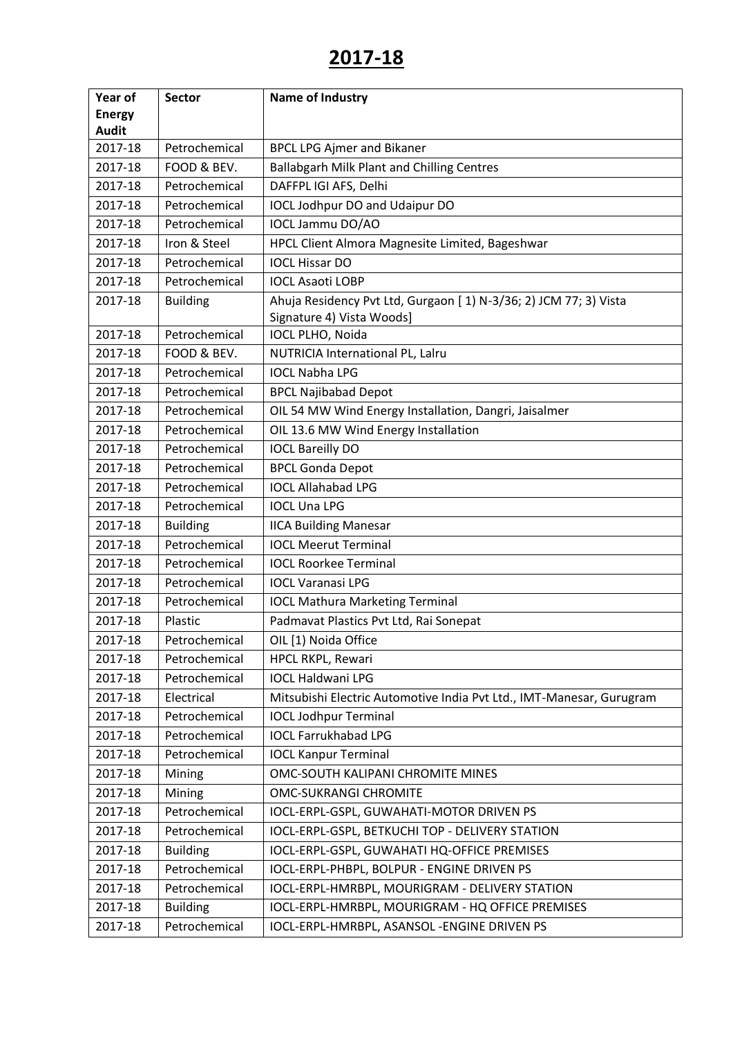| Year of       | <b>Sector</b>   | Name of Industry                                                     |
|---------------|-----------------|----------------------------------------------------------------------|
| <b>Energy</b> |                 |                                                                      |
| <b>Audit</b>  |                 |                                                                      |
| 2017-18       | Petrochemical   | <b>BPCL LPG Ajmer and Bikaner</b>                                    |
| 2017-18       | FOOD & BEV.     | <b>Ballabgarh Milk Plant and Chilling Centres</b>                    |
| 2017-18       | Petrochemical   | DAFFPL IGI AFS, Delhi                                                |
| 2017-18       | Petrochemical   | <b>IOCL Jodhpur DO and Udaipur DO</b>                                |
| 2017-18       | Petrochemical   | IOCL Jammu DO/AO                                                     |
| 2017-18       | Iron & Steel    | HPCL Client Almora Magnesite Limited, Bageshwar                      |
| 2017-18       | Petrochemical   | <b>IOCL Hissar DO</b>                                                |
| 2017-18       | Petrochemical   | <b>IOCL Asaoti LOBP</b>                                              |
| 2017-18       | <b>Building</b> | Ahuja Residency Pvt Ltd, Gurgaon [1) N-3/36; 2) JCM 77; 3) Vista     |
|               |                 | Signature 4) Vista Woods]                                            |
| 2017-18       | Petrochemical   | IOCL PLHO, Noida                                                     |
| 2017-18       | FOOD & BEV.     | NUTRICIA International PL, Lalru                                     |
| 2017-18       | Petrochemical   | <b>IOCL Nabha LPG</b>                                                |
| 2017-18       | Petrochemical   | <b>BPCL Najibabad Depot</b>                                          |
| 2017-18       | Petrochemical   | OIL 54 MW Wind Energy Installation, Dangri, Jaisalmer                |
| 2017-18       | Petrochemical   | OIL 13.6 MW Wind Energy Installation                                 |
| 2017-18       | Petrochemical   | <b>IOCL Bareilly DO</b>                                              |
| 2017-18       | Petrochemical   | <b>BPCL Gonda Depot</b>                                              |
| 2017-18       | Petrochemical   | <b>IOCL Allahabad LPG</b>                                            |
| 2017-18       | Petrochemical   | <b>IOCL Una LPG</b>                                                  |
| 2017-18       | <b>Building</b> | <b>IICA Building Manesar</b>                                         |
| 2017-18       | Petrochemical   | <b>IOCL Meerut Terminal</b>                                          |
| 2017-18       | Petrochemical   | <b>IOCL Roorkee Terminal</b>                                         |
| 2017-18       | Petrochemical   | <b>IOCL Varanasi LPG</b>                                             |
| 2017-18       | Petrochemical   | <b>IOCL Mathura Marketing Terminal</b>                               |
| 2017-18       | Plastic         | Padmavat Plastics Pvt Ltd, Rai Sonepat                               |
| 2017-18       | Petrochemical   | OIL [1) Noida Office                                                 |
| 2017-18       | Petrochemical   | HPCL RKPL, Rewari                                                    |
| 2017-18       | Petrochemical   | <b>IOCL Haldwani LPG</b>                                             |
| 2017-18       | Electrical      | Mitsubishi Electric Automotive India Pvt Ltd., IMT-Manesar, Gurugram |
| 2017-18       | Petrochemical   | <b>IOCL Jodhpur Terminal</b>                                         |
| 2017-18       | Petrochemical   | <b>IOCL Farrukhabad LPG</b>                                          |
| 2017-18       | Petrochemical   | <b>IOCL Kanpur Terminal</b>                                          |
| 2017-18       | Mining          | OMC-SOUTH KALIPANI CHROMITE MINES                                    |
| 2017-18       | Mining          | <b>OMC-SUKRANGI CHROMITE</b>                                         |
| 2017-18       | Petrochemical   | IOCL-ERPL-GSPL, GUWAHATI-MOTOR DRIVEN PS                             |
| 2017-18       | Petrochemical   | IOCL-ERPL-GSPL, BETKUCHI TOP - DELIVERY STATION                      |
| 2017-18       | <b>Building</b> | IOCL-ERPL-GSPL, GUWAHATI HQ-OFFICE PREMISES                          |
| 2017-18       | Petrochemical   | IOCL-ERPL-PHBPL, BOLPUR - ENGINE DRIVEN PS                           |
| 2017-18       | Petrochemical   | IOCL-ERPL-HMRBPL, MOURIGRAM - DELIVERY STATION                       |
| 2017-18       | <b>Building</b> | IOCL-ERPL-HMRBPL, MOURIGRAM - HQ OFFICE PREMISES                     |
| 2017-18       | Petrochemical   | IOCL-ERPL-HMRBPL, ASANSOL-ENGINE DRIVEN PS                           |
|               |                 |                                                                      |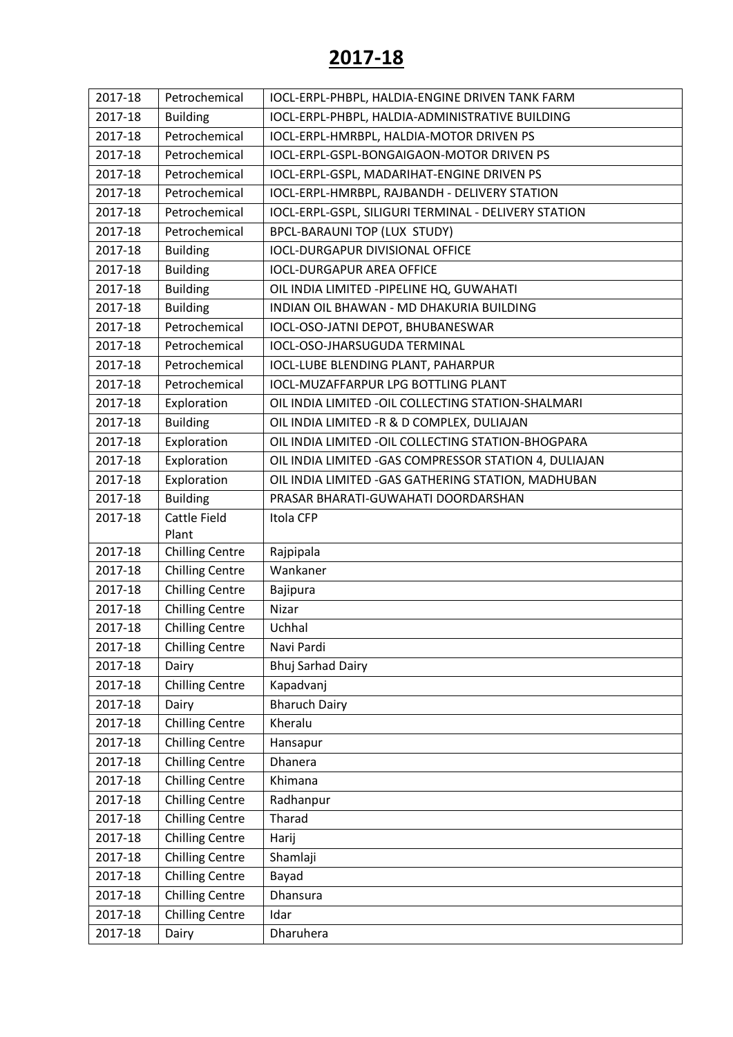| 2017-18 | Petrochemical          | IOCL-ERPL-PHBPL, HALDIA-ENGINE DRIVEN TANK FARM        |
|---------|------------------------|--------------------------------------------------------|
| 2017-18 | <b>Building</b>        | IOCL-ERPL-PHBPL, HALDIA-ADMINISTRATIVE BUILDING        |
| 2017-18 | Petrochemical          | IOCL-ERPL-HMRBPL, HALDIA-MOTOR DRIVEN PS               |
| 2017-18 | Petrochemical          | IOCL-ERPL-GSPL-BONGAIGAON-MOTOR DRIVEN PS              |
| 2017-18 | Petrochemical          | IOCL-ERPL-GSPL, MADARIHAT-ENGINE DRIVEN PS             |
| 2017-18 | Petrochemical          | IOCL-ERPL-HMRBPL, RAJBANDH - DELIVERY STATION          |
| 2017-18 | Petrochemical          | IOCL-ERPL-GSPL, SILIGURI TERMINAL - DELIVERY STATION   |
| 2017-18 | Petrochemical          | BPCL-BARAUNI TOP (LUX STUDY)                           |
| 2017-18 | <b>Building</b>        | <b>IOCL-DURGAPUR DIVISIONAL OFFICE</b>                 |
| 2017-18 | <b>Building</b>        | <b>IOCL-DURGAPUR AREA OFFICE</b>                       |
| 2017-18 | <b>Building</b>        | OIL INDIA LIMITED - PIPELINE HQ, GUWAHATI              |
| 2017-18 | <b>Building</b>        | INDIAN OIL BHAWAN - MD DHAKURIA BUILDING               |
| 2017-18 | Petrochemical          | IOCL-OSO-JATNI DEPOT, BHUBANESWAR                      |
| 2017-18 | Petrochemical          | <b>IOCL-OSO-JHARSUGUDA TERMINAL</b>                    |
| 2017-18 | Petrochemical          | IOCL-LUBE BLENDING PLANT, PAHARPUR                     |
| 2017-18 | Petrochemical          | <b>IOCL-MUZAFFARPUR LPG BOTTLING PLANT</b>             |
| 2017-18 | Exploration            | OIL INDIA LIMITED - OIL COLLECTING STATION-SHALMARI    |
| 2017-18 | <b>Building</b>        | OIL INDIA LIMITED -R & D COMPLEX, DULIAJAN             |
| 2017-18 | Exploration            | OIL INDIA LIMITED - OIL COLLECTING STATION-BHOGPARA    |
| 2017-18 | Exploration            | OIL INDIA LIMITED - GAS COMPRESSOR STATION 4, DULIAJAN |
| 2017-18 | Exploration            | OIL INDIA LIMITED - GAS GATHERING STATION, MADHUBAN    |
| 2017-18 | <b>Building</b>        | PRASAR BHARATI-GUWAHATI DOORDARSHAN                    |
| 2017-18 | <b>Cattle Field</b>    | Itola CFP                                              |
|         | Plant                  |                                                        |
| 2017-18 | <b>Chilling Centre</b> | Rajpipala                                              |
| 2017-18 | <b>Chilling Centre</b> | Wankaner                                               |
| 2017-18 | <b>Chilling Centre</b> | Bajipura                                               |
| 2017-18 | <b>Chilling Centre</b> | Nizar                                                  |
| 2017-18 | <b>Chilling Centre</b> | Uchhal                                                 |
| 2017-18 | <b>Chilling Centre</b> | Navi Pardi                                             |
| 2017-18 | Dairy                  | <b>Bhuj Sarhad Dairy</b>                               |
| 2017-18 | <b>Chilling Centre</b> | Kapadvanj                                              |
| 2017-18 | Dairy                  | <b>Bharuch Dairy</b>                                   |
| 2017-18 | <b>Chilling Centre</b> | Kheralu                                                |
| 2017-18 | <b>Chilling Centre</b> | Hansapur                                               |
| 2017-18 | <b>Chilling Centre</b> | Dhanera                                                |
| 2017-18 | <b>Chilling Centre</b> | Khimana                                                |
| 2017-18 | <b>Chilling Centre</b> | Radhanpur                                              |
| 2017-18 | <b>Chilling Centre</b> | Tharad                                                 |
| 2017-18 | <b>Chilling Centre</b> | Harij                                                  |
| 2017-18 | <b>Chilling Centre</b> | Shamlaji                                               |
| 2017-18 | <b>Chilling Centre</b> | Bayad                                                  |
| 2017-18 | <b>Chilling Centre</b> | Dhansura                                               |
| 2017-18 | <b>Chilling Centre</b> | Idar                                                   |
| 2017-18 | Dairy                  | Dharuhera                                              |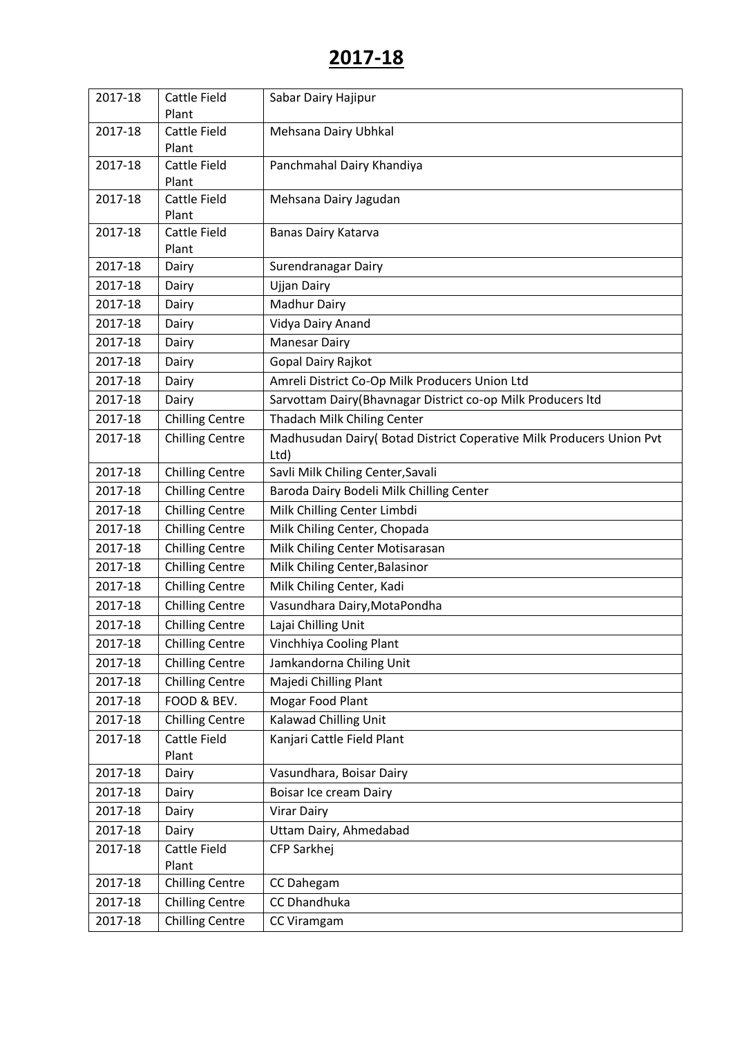| 2017-18 | <b>Cattle Field</b>          | Sabar Dairy Hajipur                                                  |
|---------|------------------------------|----------------------------------------------------------------------|
|         | Plant                        |                                                                      |
| 2017-18 | <b>Cattle Field</b>          | Mehsana Dairy Ubhkal                                                 |
|         | Plant                        |                                                                      |
| 2017-18 | <b>Cattle Field</b>          | Panchmahal Dairy Khandiya                                            |
|         | Plant                        |                                                                      |
| 2017-18 | <b>Cattle Field</b>          | Mehsana Dairy Jagudan                                                |
| 2017-18 | Plant<br><b>Cattle Field</b> | Banas Dairy Katarva                                                  |
|         | Plant                        |                                                                      |
| 2017-18 | Dairy                        | Surendranagar Dairy                                                  |
| 2017-18 | Dairy                        | <b>Ujjan Dairy</b>                                                   |
| 2017-18 | Dairy                        | Madhur Dairy                                                         |
| 2017-18 | Dairy                        | Vidya Dairy Anand                                                    |
| 2017-18 | Dairy                        | <b>Manesar Dairy</b>                                                 |
| 2017-18 | Dairy                        | Gopal Dairy Rajkot                                                   |
| 2017-18 | Dairy                        | Amreli District Co-Op Milk Producers Union Ltd                       |
| 2017-18 | Dairy                        | Sarvottam Dairy(Bhavnagar District co-op Milk Producers Itd          |
| 2017-18 | <b>Chilling Centre</b>       | Thadach Milk Chiling Center                                          |
| 2017-18 | <b>Chilling Centre</b>       | Madhusudan Dairy( Botad District Coperative Milk Producers Union Pvt |
|         |                              | Ltd)                                                                 |
| 2017-18 | <b>Chilling Centre</b>       | Savli Milk Chiling Center, Savali                                    |
| 2017-18 | <b>Chilling Centre</b>       | Baroda Dairy Bodeli Milk Chilling Center                             |
| 2017-18 | <b>Chilling Centre</b>       | Milk Chilling Center Limbdi                                          |
| 2017-18 | <b>Chilling Centre</b>       | Milk Chiling Center, Chopada                                         |
| 2017-18 | <b>Chilling Centre</b>       | Milk Chiling Center Motisarasan                                      |
| 2017-18 | <b>Chilling Centre</b>       | Milk Chiling Center, Balasinor                                       |
| 2017-18 | <b>Chilling Centre</b>       | Milk Chiling Center, Kadi                                            |
| 2017-18 | <b>Chilling Centre</b>       | Vasundhara Dairy, MotaPondha                                         |
| 2017-18 | <b>Chilling Centre</b>       | Lajai Chilling Unit                                                  |
| 2017-18 | <b>Chilling Centre</b>       | Vinchhiya Cooling Plant                                              |
| 2017-18 | <b>Chilling Centre</b>       | Jamkandorna Chiling Unit                                             |
| 2017-18 | <b>Chilling Centre</b>       | Majedi Chilling Plant                                                |
| 2017-18 | FOOD & BEV.                  | Mogar Food Plant                                                     |
| 2017-18 | <b>Chilling Centre</b>       | Kalawad Chilling Unit                                                |
| 2017-18 | Cattle Field                 | Kanjari Cattle Field Plant                                           |
|         | Plant                        |                                                                      |
| 2017-18 | Dairy                        | Vasundhara, Boisar Dairy                                             |
| 2017-18 | Dairy                        | Boisar Ice cream Dairy                                               |
| 2017-18 | Dairy                        | <b>Virar Dairy</b>                                                   |
| 2017-18 | Dairy                        | Uttam Dairy, Ahmedabad                                               |
| 2017-18 | <b>Cattle Field</b>          | CFP Sarkhej                                                          |
|         | Plant                        |                                                                      |
| 2017-18 | <b>Chilling Centre</b>       | CC Dahegam                                                           |
| 2017-18 | <b>Chilling Centre</b>       | CC Dhandhuka                                                         |
| 2017-18 | <b>Chilling Centre</b>       | CC Viramgam                                                          |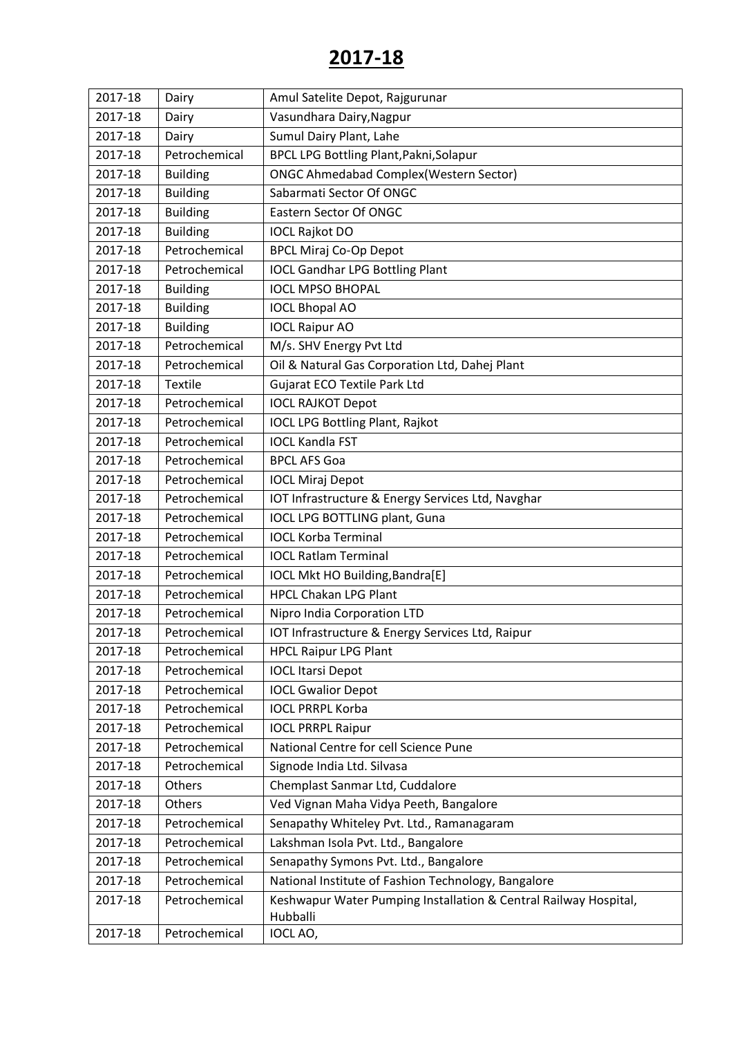| 2017-18 | Dairy           | Amul Satelite Depot, Rajgurunar                                              |
|---------|-----------------|------------------------------------------------------------------------------|
| 2017-18 | Dairy           | Vasundhara Dairy, Nagpur                                                     |
| 2017-18 | Dairy           | Sumul Dairy Plant, Lahe                                                      |
| 2017-18 | Petrochemical   | BPCL LPG Bottling Plant, Pakni, Solapur                                      |
| 2017-18 | <b>Building</b> | <b>ONGC Ahmedabad Complex (Western Sector)</b>                               |
| 2017-18 | <b>Building</b> | Sabarmati Sector Of ONGC                                                     |
| 2017-18 | <b>Building</b> | Eastern Sector Of ONGC                                                       |
| 2017-18 | <b>Building</b> | <b>IOCL Rajkot DO</b>                                                        |
| 2017-18 | Petrochemical   | <b>BPCL Miraj Co-Op Depot</b>                                                |
| 2017-18 | Petrochemical   | <b>IOCL Gandhar LPG Bottling Plant</b>                                       |
| 2017-18 | <b>Building</b> | <b>IOCL MPSO BHOPAL</b>                                                      |
| 2017-18 | <b>Building</b> | <b>IOCL Bhopal AO</b>                                                        |
| 2017-18 | <b>Building</b> | <b>IOCL Raipur AO</b>                                                        |
| 2017-18 | Petrochemical   | M/s. SHV Energy Pvt Ltd                                                      |
| 2017-18 | Petrochemical   | Oil & Natural Gas Corporation Ltd, Dahej Plant                               |
| 2017-18 | <b>Textile</b>  | <b>Gujarat ECO Textile Park Ltd</b>                                          |
| 2017-18 | Petrochemical   | <b>IOCL RAJKOT Depot</b>                                                     |
| 2017-18 | Petrochemical   | <b>IOCL LPG Bottling Plant, Rajkot</b>                                       |
| 2017-18 | Petrochemical   | <b>IOCL Kandla FST</b>                                                       |
| 2017-18 | Petrochemical   | <b>BPCL AFS Goa</b>                                                          |
| 2017-18 | Petrochemical   | <b>IOCL Miraj Depot</b>                                                      |
| 2017-18 | Petrochemical   | IOT Infrastructure & Energy Services Ltd, Navghar                            |
| 2017-18 | Petrochemical   | <b>IOCL LPG BOTTLING plant, Guna</b>                                         |
| 2017-18 | Petrochemical   | <b>IOCL Korba Terminal</b>                                                   |
| 2017-18 | Petrochemical   | <b>IOCL Ratlam Terminal</b>                                                  |
| 2017-18 | Petrochemical   | IOCL Mkt HO Building, Bandra[E]                                              |
| 2017-18 | Petrochemical   | <b>HPCL Chakan LPG Plant</b>                                                 |
| 2017-18 | Petrochemical   | Nipro India Corporation LTD                                                  |
| 2017-18 | Petrochemical   | IOT Infrastructure & Energy Services Ltd, Raipur                             |
| 2017-18 | Petrochemical   | <b>HPCL Raipur LPG Plant</b>                                                 |
| 2017-18 | Petrochemical   | <b>IOCL Itarsi Depot</b>                                                     |
| 2017-18 | Petrochemical   | <b>IOCL Gwalior Depot</b>                                                    |
| 2017-18 | Petrochemical   | <b>IOCL PRRPL Korba</b>                                                      |
| 2017-18 | Petrochemical   | <b>IOCL PRRPL Raipur</b>                                                     |
| 2017-18 | Petrochemical   | National Centre for cell Science Pune                                        |
| 2017-18 | Petrochemical   | Signode India Ltd. Silvasa                                                   |
| 2017-18 | Others          | Chemplast Sanmar Ltd, Cuddalore                                              |
| 2017-18 | Others          | Ved Vignan Maha Vidya Peeth, Bangalore                                       |
| 2017-18 | Petrochemical   | Senapathy Whiteley Pvt. Ltd., Ramanagaram                                    |
| 2017-18 | Petrochemical   | Lakshman Isola Pvt. Ltd., Bangalore                                          |
| 2017-18 | Petrochemical   | Senapathy Symons Pvt. Ltd., Bangalore                                        |
| 2017-18 | Petrochemical   | National Institute of Fashion Technology, Bangalore                          |
| 2017-18 | Petrochemical   | Keshwapur Water Pumping Installation & Central Railway Hospital,<br>Hubballi |
| 2017-18 | Petrochemical   | IOCL AO,                                                                     |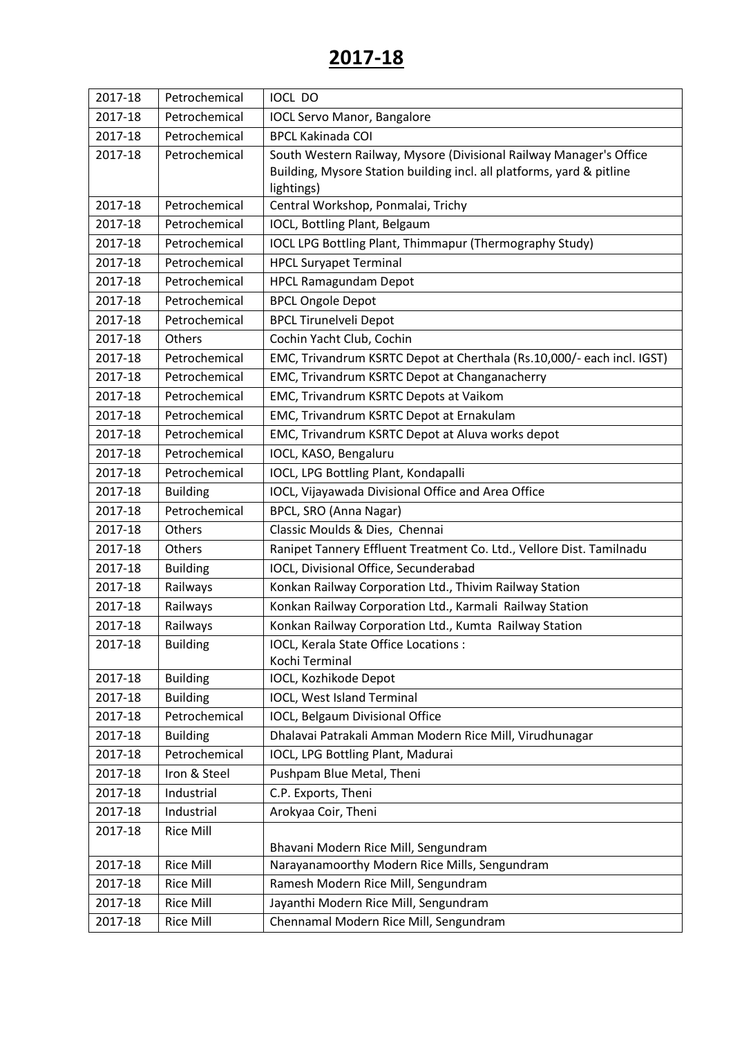| 2017-18 | Petrochemical    | <b>IOCL DO</b>                                                         |
|---------|------------------|------------------------------------------------------------------------|
| 2017-18 | Petrochemical    | <b>IOCL Servo Manor, Bangalore</b>                                     |
| 2017-18 | Petrochemical    | <b>BPCL Kakinada COI</b>                                               |
| 2017-18 | Petrochemical    | South Western Railway, Mysore (Divisional Railway Manager's Office     |
|         |                  | Building, Mysore Station building incl. all platforms, yard & pitline  |
|         |                  | lightings)                                                             |
| 2017-18 | Petrochemical    | Central Workshop, Ponmalai, Trichy                                     |
| 2017-18 | Petrochemical    | IOCL, Bottling Plant, Belgaum                                          |
| 2017-18 | Petrochemical    | <b>IOCL LPG Bottling Plant, Thimmapur (Thermography Study)</b>         |
| 2017-18 | Petrochemical    | <b>HPCL Suryapet Terminal</b>                                          |
| 2017-18 | Petrochemical    | <b>HPCL Ramagundam Depot</b>                                           |
| 2017-18 | Petrochemical    | <b>BPCL Ongole Depot</b>                                               |
| 2017-18 | Petrochemical    | <b>BPCL Tirunelveli Depot</b>                                          |
| 2017-18 | Others           | Cochin Yacht Club, Cochin                                              |
| 2017-18 | Petrochemical    | EMC, Trivandrum KSRTC Depot at Cherthala (Rs.10,000/- each incl. IGST) |
| 2017-18 | Petrochemical    | EMC, Trivandrum KSRTC Depot at Changanacherry                          |
| 2017-18 | Petrochemical    | EMC, Trivandrum KSRTC Depots at Vaikom                                 |
| 2017-18 | Petrochemical    | EMC, Trivandrum KSRTC Depot at Ernakulam                               |
| 2017-18 | Petrochemical    | EMC, Trivandrum KSRTC Depot at Aluva works depot                       |
| 2017-18 | Petrochemical    | IOCL, KASO, Bengaluru                                                  |
| 2017-18 | Petrochemical    | IOCL, LPG Bottling Plant, Kondapalli                                   |
| 2017-18 | <b>Building</b>  | IOCL, Vijayawada Divisional Office and Area Office                     |
| 2017-18 | Petrochemical    | BPCL, SRO (Anna Nagar)                                                 |
| 2017-18 | Others           | Classic Moulds & Dies, Chennai                                         |
| 2017-18 | Others           | Ranipet Tannery Effluent Treatment Co. Ltd., Vellore Dist. Tamilnadu   |
| 2017-18 | <b>Building</b>  | IOCL, Divisional Office, Secunderabad                                  |
| 2017-18 | Railways         | Konkan Railway Corporation Ltd., Thivim Railway Station                |
| 2017-18 | Railways         | Konkan Railway Corporation Ltd., Karmali Railway Station               |
| 2017-18 | Railways         | Konkan Railway Corporation Ltd., Kumta Railway Station                 |
| 2017-18 | <b>Building</b>  | IOCL, Kerala State Office Locations:                                   |
|         |                  | Kochi Terminal                                                         |
| 2017-18 | <b>Building</b>  | IOCL, Kozhikode Depot                                                  |
| 2017-18 | <b>Building</b>  | IOCL, West Island Terminal                                             |
| 2017-18 | Petrochemical    | IOCL, Belgaum Divisional Office                                        |
| 2017-18 | <b>Building</b>  | Dhalavai Patrakali Amman Modern Rice Mill, Virudhunagar                |
| 2017-18 | Petrochemical    | IOCL, LPG Bottling Plant, Madurai                                      |
| 2017-18 | Iron & Steel     | Pushpam Blue Metal, Theni                                              |
| 2017-18 | Industrial       | C.P. Exports, Theni                                                    |
| 2017-18 | Industrial       | Arokyaa Coir, Theni                                                    |
| 2017-18 | <b>Rice Mill</b> |                                                                        |
|         |                  | Bhavani Modern Rice Mill, Sengundram                                   |
| 2017-18 | <b>Rice Mill</b> | Narayanamoorthy Modern Rice Mills, Sengundram                          |
| 2017-18 | <b>Rice Mill</b> | Ramesh Modern Rice Mill, Sengundram                                    |
| 2017-18 | <b>Rice Mill</b> | Jayanthi Modern Rice Mill, Sengundram                                  |
| 2017-18 | <b>Rice Mill</b> | Chennamal Modern Rice Mill, Sengundram                                 |